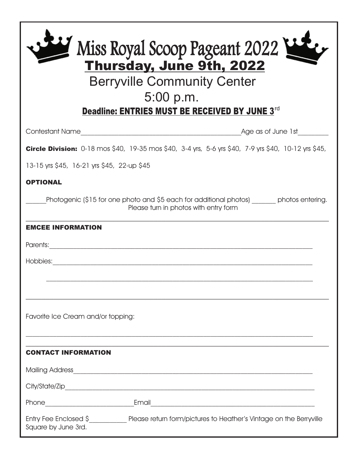| Miss Royal Scoop Pageant 2022<br>Thursday, June 9th, 2022<br><b>Berryville Community Center</b><br>5:00 p.m.<br>Deadline: ENTRIES MUST BE RECEIVED BY JUNE 3rd |  |
|----------------------------------------------------------------------------------------------------------------------------------------------------------------|--|
|                                                                                                                                                                |  |
| <b>Circle Division:</b> 0-18 mos \$40, 19-35 mos \$40, 3-4 yrs, 5-6 yrs \$40, 7-9 yrs \$40, 10-12 yrs \$45,                                                    |  |
| 13-15 yrs \$45, 16-21 yrs \$45, 22-up \$45                                                                                                                     |  |
| <b>OPTIONAL</b>                                                                                                                                                |  |
| Photogenic (\$15 for one photo and \$5 each for additional photos) ______ photos entering.<br>Please turn in photos with entry form                            |  |
| <b>EMCEE INFORMATION</b>                                                                                                                                       |  |
| Parents: 2008.000 Parents: 2008.000 Parents: 2008.000 Parents: 2008.000 Parents: 2008.000 Parents: 2008.000 Pa                                                 |  |
| Hobbies:                                                                                                                                                       |  |
|                                                                                                                                                                |  |
|                                                                                                                                                                |  |
| Favorite Ice Cream and/or topping:                                                                                                                             |  |
| <b>CONTACT INFORMATION</b>                                                                                                                                     |  |
|                                                                                                                                                                |  |
|                                                                                                                                                                |  |
|                                                                                                                                                                |  |
| Entry Fee Enclosed \$_______________ Please return form/pictures to Heather's Vintage on the Berryville<br>Square by June 3rd.                                 |  |